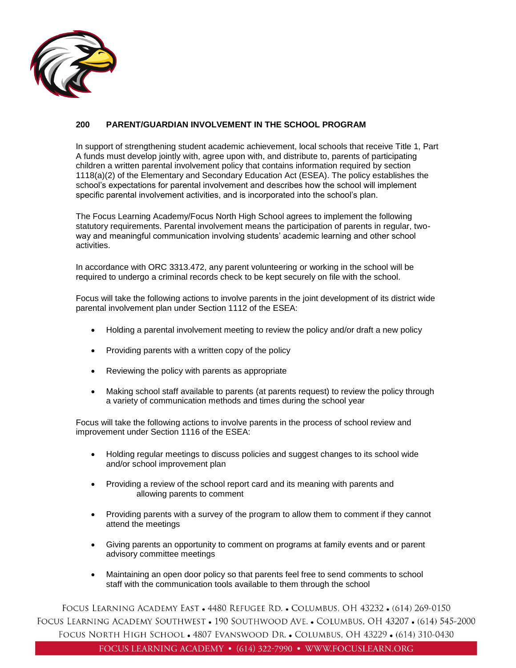

## **200 PARENT/GUARDIAN INVOLVEMENT IN THE SCHOOL PROGRAM**

In support of strengthening student academic achievement, local schools that receive Title 1, Part A funds must develop jointly with, agree upon with, and distribute to, parents of participating children a written parental involvement policy that contains information required by section 1118(a)(2) of the Elementary and Secondary Education Act (ESEA). The policy establishes the school's expectations for parental involvement and describes how the school will implement specific parental involvement activities, and is incorporated into the school's plan.

The Focus Learning Academy/Focus North High School agrees to implement the following statutory requirements. Parental involvement means the participation of parents in regular, twoway and meaningful communication involving students' academic learning and other school activities.

In accordance with ORC 3313.472, any parent volunteering or working in the school will be required to undergo a criminal records check to be kept securely on file with the school.

Focus will take the following actions to involve parents in the joint development of its district wide parental involvement plan under Section 1112 of the ESEA:

- Holding a parental involvement meeting to review the policy and/or draft a new policy
- Providing parents with a written copy of the policy
- Reviewing the policy with parents as appropriate
- Making school staff available to parents (at parents request) to review the policy through a variety of communication methods and times during the school year

Focus will take the following actions to involve parents in the process of school review and improvement under Section 1116 of the ESEA:

- Holding regular meetings to discuss policies and suggest changes to its school wide and/or school improvement plan
- Providing a review of the school report card and its meaning with parents and allowing parents to comment
- Providing parents with a survey of the program to allow them to comment if they cannot attend the meetings
- Giving parents an opportunity to comment on programs at family events and or parent advisory committee meetings
- Maintaining an open door policy so that parents feel free to send comments to school staff with the communication tools available to them through the school

FOCUS LEARNING ACADEMY EAST • 4480 REFUGEE RD. • COLUMBUS, OH 43232 • (614) 269-0150 FOCUS LEARNING ACADEMY SOUTHWEST • 190 SOUTHWOOD AVE. • COLUMBUS, OH 43207 • (614) 545-2000 Focus North High School • 4807 Evanswood Dr. • Columbus, OH 43229 • (614) 310-0430 FOCUS LEARNING ACADEMY • (614) 322-7990 • WWW.FOCUSLEARN.ORG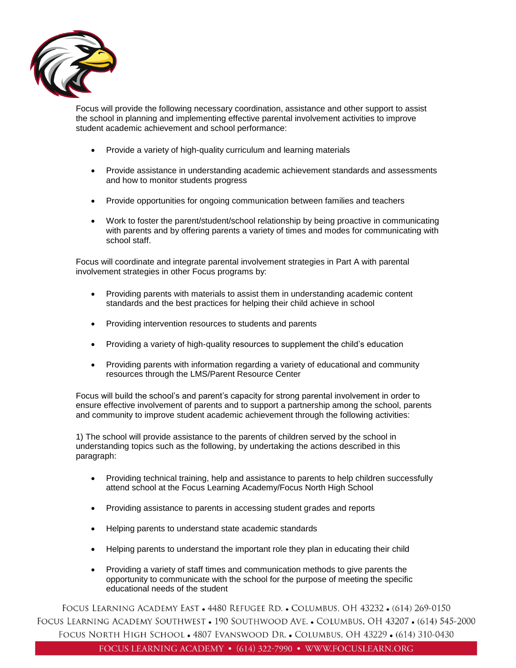

Focus will provide the following necessary coordination, assistance and other support to assist the school in planning and implementing effective parental involvement activities to improve student academic achievement and school performance:

- Provide a variety of high-quality curriculum and learning materials
- Provide assistance in understanding academic achievement standards and assessments and how to monitor students progress
- Provide opportunities for ongoing communication between families and teachers
- Work to foster the parent/student/school relationship by being proactive in communicating with parents and by offering parents a variety of times and modes for communicating with school staff.

Focus will coordinate and integrate parental involvement strategies in Part A with parental involvement strategies in other Focus programs by:

- Providing parents with materials to assist them in understanding academic content standards and the best practices for helping their child achieve in school
- Providing intervention resources to students and parents
- Providing a variety of high-quality resources to supplement the child's education
- Providing parents with information regarding a variety of educational and community resources through the LMS/Parent Resource Center

Focus will build the school's and parent's capacity for strong parental involvement in order to ensure effective involvement of parents and to support a partnership among the school, parents and community to improve student academic achievement through the following activities:

1) The school will provide assistance to the parents of children served by the school in understanding topics such as the following, by undertaking the actions described in this paragraph:

- Providing technical training, help and assistance to parents to help children successfully attend school at the Focus Learning Academy/Focus North High School
- Providing assistance to parents in accessing student grades and reports
- Helping parents to understand state academic standards
- Helping parents to understand the important role they plan in educating their child
- Providing a variety of staff times and communication methods to give parents the opportunity to communicate with the school for the purpose of meeting the specific educational needs of the student

FOCUS LEARNING ACADEMY EAST • 4480 REFUGEE RD. • COLUMBUS, OH 43232 • (614) 269-0150 Focus Learning Academy Southwest • 190 Southwood Ave. • Columbus, OH 43207 • (614) 545-2000 Focus North High School • 4807 Evanswood Dr. • Columbus, OH 43229 • (614) 310-0430 FOCUS LEARNING ACADEMY • (614) 322-7990 • WWW.FOCUSLEARN.ORG